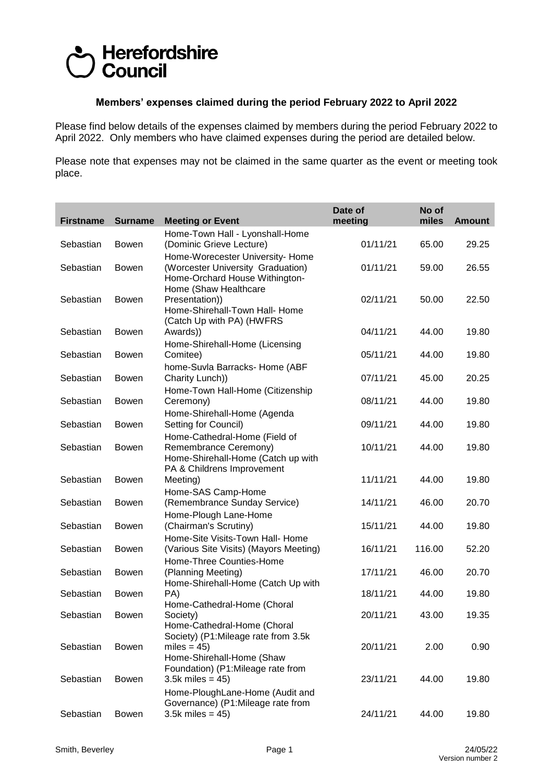## Herefordshire **Council**

## **Members' expenses claimed during the period February 2022 to April 2022**

Please find below details of the expenses claimed by members during the period February 2022 to April 2022. Only members who have claimed expenses during the period are detailed below.

Please note that expenses may not be claimed in the same quarter as the event or meeting took place.

| <b>Firstname</b> | <b>Surname</b> | <b>Meeting or Event</b>                                                                                 | Date of<br>meeting | No of<br>miles | <b>Amount</b> |
|------------------|----------------|---------------------------------------------------------------------------------------------------------|--------------------|----------------|---------------|
| Sebastian        | Bowen          | Home-Town Hall - Lyonshall-Home<br>(Dominic Grieve Lecture)                                             | 01/11/21           | 65.00          | 29.25         |
| Sebastian        | Bowen          | Home-Worecester University- Home<br>(Worcester University Graduation)<br>Home-Orchard House Withington- | 01/11/21           | 59.00          | 26.55         |
| Sebastian        | Bowen          | Home (Shaw Healthcare<br>Presentation))<br>Home-Shirehall-Town Hall- Home<br>(Catch Up with PA) (HWFRS  | 02/11/21           | 50.00          | 22.50         |
| Sebastian        | Bowen          | Awards))<br>Home-Shirehall-Home (Licensing                                                              | 04/11/21           | 44.00          | 19.80         |
| Sebastian        | <b>Bowen</b>   | Comitee)<br>home-Suvla Barracks- Home (ABF                                                              | 05/11/21           | 44.00          | 19.80         |
| Sebastian        | <b>Bowen</b>   | Charity Lunch))<br>Home-Town Hall-Home (Citizenship                                                     | 07/11/21           | 45.00          | 20.25         |
| Sebastian        | <b>Bowen</b>   | Ceremony)<br>Home-Shirehall-Home (Agenda                                                                | 08/11/21           | 44.00          | 19.80         |
| Sebastian        | <b>Bowen</b>   | Setting for Council)<br>Home-Cathedral-Home (Field of                                                   | 09/11/21           | 44.00          | 19.80         |
| Sebastian        | Bowen          | Remembrance Ceremony)<br>Home-Shirehall-Home (Catch up with<br>PA & Childrens Improvement               | 10/11/21           | 44.00          | 19.80         |
| Sebastian        | <b>Bowen</b>   | Meeting)<br>Home-SAS Camp-Home                                                                          | 11/11/21           | 44.00          | 19.80         |
| Sebastian        | <b>Bowen</b>   | (Remembrance Sunday Service)                                                                            | 14/11/21           | 46.00          | 20.70         |
| Sebastian        | <b>Bowen</b>   | Home-Plough Lane-Home<br>(Chairman's Scrutiny)                                                          | 15/11/21           | 44.00          | 19.80         |
| Sebastian        | <b>Bowen</b>   | Home-Site Visits-Town Hall- Home<br>(Various Site Visits) (Mayors Meeting)                              | 16/11/21           | 116.00         | 52.20         |
| Sebastian        | <b>Bowen</b>   | Home-Three Counties-Home<br>(Planning Meeting)<br>Home-Shirehall-Home (Catch Up with                    | 17/11/21           | 46.00          | 20.70         |
| Sebastian        | <b>Bowen</b>   | PA)<br>Home-Cathedral-Home (Choral                                                                      | 18/11/21           | 44.00          | 19.80         |
| Sebastian        | <b>Bowen</b>   | Society)<br>Home-Cathedral-Home (Choral<br>Society) (P1:Mileage rate from 3.5k                          | 20/11/21           | 43.00          | 19.35         |
| Sebastian        | Bowen          | miles = $45$ )<br>Home-Shirehall-Home (Shaw<br>Foundation) (P1:Mileage rate from                        | 20/11/21           | 2.00           | 0.90          |
| Sebastian        | Bowen          | $3.5k$ miles = 45)<br>Home-PloughLane-Home (Audit and                                                   | 23/11/21           | 44.00          | 19.80         |
| Sebastian        | Bowen          | Governance) (P1:Mileage rate from<br>$3.5k$ miles = 45)                                                 | 24/11/21           | 44.00          | 19.80         |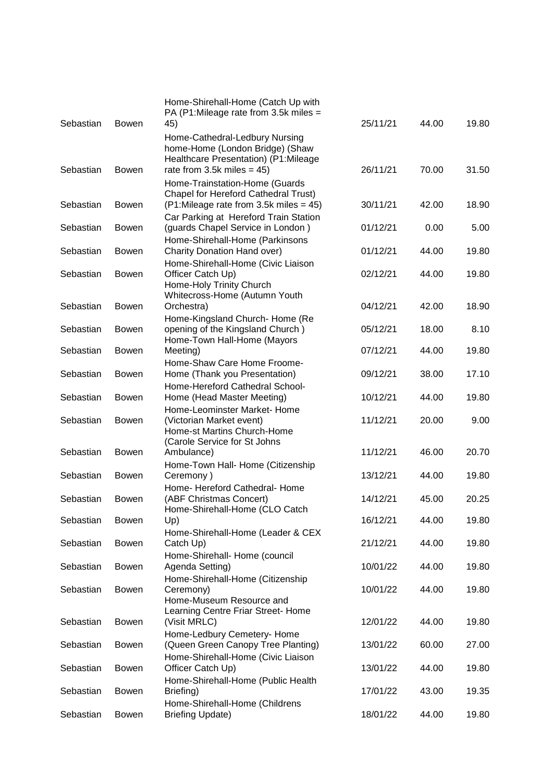| Sebastian | <b>Bowen</b> | Home-Shirehall-Home (Catch Up with<br>PA (P1:Mileage rate from 3.5k miles $=$<br>45)                                                       | 25/11/21 | 44.00 | 19.80 |
|-----------|--------------|--------------------------------------------------------------------------------------------------------------------------------------------|----------|-------|-------|
| Sebastian | <b>Bowen</b> | Home-Cathedral-Ledbury Nursing<br>home-Home (London Bridge) (Shaw<br>Healthcare Presentation) (P1:Mileage<br>rate from 3.5k miles $= 45$ ) | 26/11/21 | 70.00 | 31.50 |
|           |              | Home-Trainstation-Home (Guards                                                                                                             |          |       |       |
| Sebastian | Bowen        | Chapel for Hereford Cathedral Trust)<br>(P1:Mileage rate from 3.5k miles = 45)                                                             | 30/11/21 | 42.00 | 18.90 |
| Sebastian | <b>Bowen</b> | Car Parking at Hereford Train Station<br>(guards Chapel Service in London)<br>Home-Shirehall-Home (Parkinsons                              | 01/12/21 | 0.00  | 5.00  |
| Sebastian | <b>Bowen</b> | Charity Donation Hand over)                                                                                                                | 01/12/21 | 44.00 | 19.80 |
| Sebastian | <b>Bowen</b> | Home-Shirehall-Home (Civic Liaison<br>Officer Catch Up)<br>Home-Holy Trinity Church<br>Whitecross-Home (Autumn Youth                       | 02/12/21 | 44.00 | 19.80 |
| Sebastian | <b>Bowen</b> | Orchestra)                                                                                                                                 | 04/12/21 | 42.00 | 18.90 |
| Sebastian | <b>Bowen</b> | Home-Kingsland Church- Home (Re<br>opening of the Kingsland Church)<br>Home-Town Hall-Home (Mayors                                         | 05/12/21 | 18.00 | 8.10  |
| Sebastian | <b>Bowen</b> | Meeting)                                                                                                                                   | 07/12/21 | 44.00 | 19.80 |
| Sebastian | <b>Bowen</b> | Home-Shaw Care Home Froome-<br>Home (Thank you Presentation)                                                                               | 09/12/21 | 38.00 | 17.10 |
| Sebastian | <b>Bowen</b> | Home-Hereford Cathedral School-<br>Home (Head Master Meeting)                                                                              | 10/12/21 | 44.00 | 19.80 |
| Sebastian | <b>Bowen</b> | Home-Leominster Market-Home<br>(Victorian Market event)<br>Home-st Martins Church-Home                                                     | 11/12/21 | 20.00 | 9.00  |
| Sebastian | <b>Bowen</b> | (Carole Service for St Johns<br>Ambulance)                                                                                                 | 11/12/21 | 46.00 | 20.70 |
| Sebastian | <b>Bowen</b> | Home-Town Hall- Home (Citizenship<br>Ceremony)                                                                                             | 13/12/21 | 44.00 | 19.80 |
| Sebastian | <b>Bowen</b> | Home- Hereford Cathedral- Home<br>(ABF Christmas Concert)<br>Home-Shirehall-Home (CLO Catch                                                | 14/12/21 | 45.00 | 20.25 |
| Sebastian | <b>Bowen</b> | Up)                                                                                                                                        | 16/12/21 | 44.00 | 19.80 |
| Sebastian | <b>Bowen</b> | Home-Shirehall-Home (Leader & CEX<br>Catch Up)                                                                                             | 21/12/21 | 44.00 | 19.80 |
| Sebastian | <b>Bowen</b> | Home-Shirehall- Home (council<br>Agenda Setting)                                                                                           | 10/01/22 | 44.00 | 19.80 |
| Sebastian | <b>Bowen</b> | Home-Shirehall-Home (Citizenship<br>Ceremony)<br>Home-Museum Resource and                                                                  | 10/01/22 | 44.00 | 19.80 |
| Sebastian | <b>Bowen</b> | Learning Centre Friar Street- Home<br>(Visit MRLC)                                                                                         | 12/01/22 | 44.00 | 19.80 |
| Sebastian | <b>Bowen</b> | Home-Ledbury Cemetery- Home<br>(Queen Green Canopy Tree Planting)                                                                          | 13/01/22 | 60.00 | 27.00 |
| Sebastian | <b>Bowen</b> | Home-Shirehall-Home (Civic Liaison<br>Officer Catch Up)                                                                                    | 13/01/22 | 44.00 | 19.80 |
| Sebastian | <b>Bowen</b> | Home-Shirehall-Home (Public Health<br>Briefing)                                                                                            | 17/01/22 | 43.00 | 19.35 |
| Sebastian | Bowen        | Home-Shirehall-Home (Childrens<br><b>Briefing Update)</b>                                                                                  | 18/01/22 | 44.00 | 19.80 |
|           |              |                                                                                                                                            |          |       |       |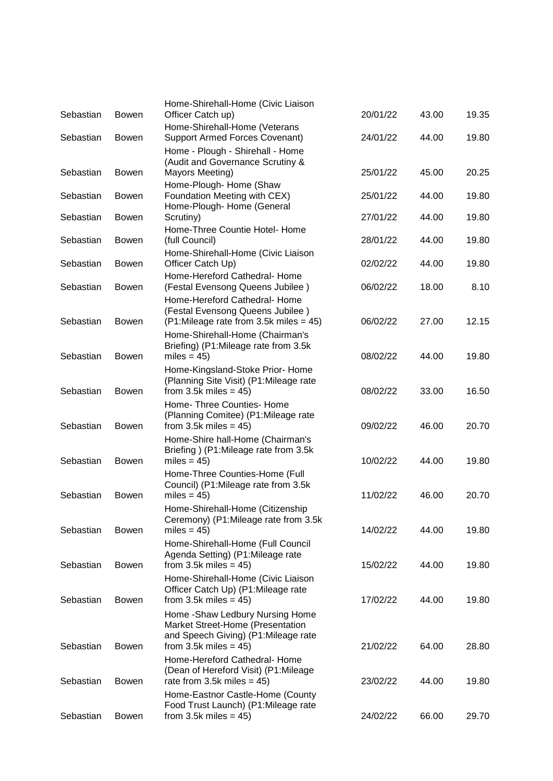| Sebastian | <b>Bowen</b> | Home-Shirehall-Home (Civic Liaison<br>Officer Catch up)                                                        | 20/01/22 | 43.00 | 19.35 |
|-----------|--------------|----------------------------------------------------------------------------------------------------------------|----------|-------|-------|
| Sebastian | <b>Bowen</b> | Home-Shirehall-Home (Veterans<br><b>Support Armed Forces Covenant)</b>                                         | 24/01/22 | 44.00 | 19.80 |
| Sebastian | <b>Bowen</b> | Home - Plough - Shirehall - Home<br>(Audit and Governance Scrutiny &<br>Mayors Meeting)                        | 25/01/22 | 45.00 | 20.25 |
| Sebastian | <b>Bowen</b> | Home-Plough- Home (Shaw<br>Foundation Meeting with CEX)                                                        | 25/01/22 | 44.00 | 19.80 |
| Sebastian | Bowen        | Home-Plough- Home (General<br>Scrutiny)                                                                        | 27/01/22 | 44.00 | 19.80 |
| Sebastian | <b>Bowen</b> | Home-Three Countie Hotel- Home<br>(full Council)                                                               | 28/01/22 | 44.00 | 19.80 |
| Sebastian | <b>Bowen</b> | Home-Shirehall-Home (Civic Liaison<br>Officer Catch Up)                                                        | 02/02/22 | 44.00 | 19.80 |
| Sebastian | Bowen        | Home-Hereford Cathedral- Home<br>(Festal Evensong Queens Jubilee)                                              | 06/02/22 | 18.00 | 8.10  |
| Sebastian | <b>Bowen</b> | Home-Hereford Cathedral- Home<br>(Festal Evensong Queens Jubilee)<br>$(P1:$ Mileage rate from 3.5k miles = 45) | 06/02/22 | 27.00 | 12.15 |
| Sebastian | <b>Bowen</b> | Home-Shirehall-Home (Chairman's<br>Briefing) (P1: Mileage rate from 3.5k<br>miles = $45$ )                     | 08/02/22 | 44.00 | 19.80 |
| Sebastian | <b>Bowen</b> | Home-Kingsland-Stoke Prior- Home<br>(Planning Site Visit) (P1: Mileage rate<br>from 3.5k miles $=$ 45)         | 08/02/22 | 33.00 | 16.50 |
| Sebastian | <b>Bowen</b> | Home- Three Counties- Home<br>(Planning Comitee) (P1: Mileage rate<br>from 3.5k miles = $45$ )                 | 09/02/22 | 46.00 | 20.70 |
| Sebastian | <b>Bowen</b> | Home-Shire hall-Home (Chairman's<br>Briefing ) (P1: Mileage rate from 3.5k<br>miles = $45$ )                   | 10/02/22 | 44.00 | 19.80 |
| Sebastian | Bowen        | Home-Three Counties-Home (Full<br>Council) (P1:Mileage rate from 3.5k<br>miles = $45$ )                        | 11/02/22 | 46.00 | 20.70 |
| Sebastian | <b>Bowen</b> | Home-Shirehall-Home (Citizenship<br>Ceremony) (P1: Mileage rate from 3.5k<br>miles = $45$ )                    | 14/02/22 | 44.00 | 19.80 |
| Sebastian | Bowen        | Home-Shirehall-Home (Full Council<br>Agenda Setting) (P1: Mileage rate<br>from 3.5k miles $= 45$ )             | 15/02/22 | 44.00 | 19.80 |
| Sebastian | Bowen        | Home-Shirehall-Home (Civic Liaison<br>Officer Catch Up) (P1:Mileage rate<br>from 3.5k miles $=$ 45)            | 17/02/22 | 44.00 | 19.80 |
|           |              | Home -Shaw Ledbury Nursing Home<br>Market Street-Home (Presentation<br>and Speech Giving) (P1:Mileage rate     |          |       |       |
| Sebastian | Bowen        | from 3.5k miles $=$ 45)<br>Home-Hereford Cathedral- Home                                                       | 21/02/22 | 64.00 | 28.80 |
| Sebastian | Bowen        | (Dean of Hereford Visit) (P1:Mileage<br>rate from 3.5k miles $= 45$ )                                          | 23/02/22 | 44.00 | 19.80 |
| Sebastian | Bowen        | Home-Eastnor Castle-Home (County<br>Food Trust Launch) (P1: Mileage rate<br>from 3.5k miles = $45$ )           | 24/02/22 | 66.00 | 29.70 |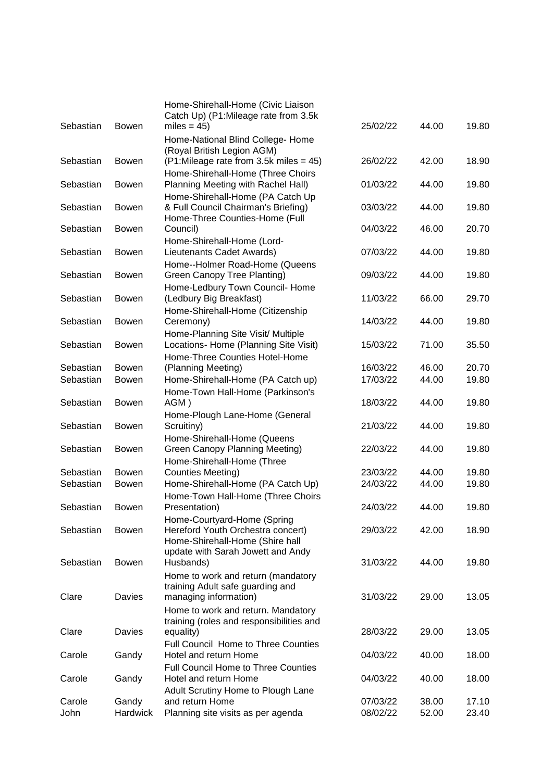| Sebastian      | <b>Bowen</b>             | Home-Shirehall-Home (Civic Liaison<br>Catch Up) (P1: Mileage rate from 3.5k<br>miles = $45$ )                                            | 25/02/22             | 44.00          | 19.80          |
|----------------|--------------------------|------------------------------------------------------------------------------------------------------------------------------------------|----------------------|----------------|----------------|
|                |                          | Home-National Blind College- Home<br>(Royal British Legion AGM)                                                                          |                      |                |                |
| Sebastian      | <b>Bowen</b>             | $(P1:Mileage rate from 3.5k miles = 45)$<br>Home-Shirehall-Home (Three Choirs                                                            | 26/02/22             | 42.00          | 18.90          |
| Sebastian      | <b>Bowen</b>             | Planning Meeting with Rachel Hall)<br>Home-Shirehall-Home (PA Catch Up                                                                   | 01/03/22             | 44.00          | 19.80          |
| Sebastian      | <b>Bowen</b>             | & Full Council Chairman's Briefing)<br>Home-Three Counties-Home (Full                                                                    | 03/03/22             | 44.00          | 19.80          |
| Sebastian      | <b>Bowen</b>             | Council)<br>Home-Shirehall-Home (Lord-                                                                                                   | 04/03/22             | 46.00          | 20.70          |
| Sebastian      | <b>Bowen</b>             | Lieutenants Cadet Awards)<br>Home--Holmer Road-Home (Queens                                                                              | 07/03/22             | 44.00          | 19.80          |
| Sebastian      | <b>Bowen</b>             | Green Canopy Tree Planting)                                                                                                              | 09/03/22             | 44.00          | 19.80          |
| Sebastian      | <b>Bowen</b>             | Home-Ledbury Town Council- Home<br>(Ledbury Big Breakfast)                                                                               | 11/03/22             | 66.00          | 29.70          |
| Sebastian      | <b>Bowen</b>             | Home-Shirehall-Home (Citizenship<br>Ceremony)                                                                                            | 14/03/22             | 44.00          | 19.80          |
| Sebastian      | <b>Bowen</b>             | Home-Planning Site Visit/ Multiple<br>Locations- Home (Planning Site Visit)                                                              | 15/03/22             | 71.00          | 35.50          |
| Sebastian      | Bowen                    | Home-Three Counties Hotel-Home<br>(Planning Meeting)                                                                                     | 16/03/22             | 46.00          | 20.70          |
| Sebastian      | <b>Bowen</b>             | Home-Shirehall-Home (PA Catch up)<br>Home-Town Hall-Home (Parkinson's                                                                    | 17/03/22             | 44.00          | 19.80          |
| Sebastian      | <b>Bowen</b>             | AGM)<br>Home-Plough Lane-Home (General                                                                                                   | 18/03/22             | 44.00          | 19.80          |
| Sebastian      | <b>Bowen</b>             | Scruitiny)<br>Home-Shirehall-Home (Queens                                                                                                | 21/03/22             | 44.00          | 19.80          |
| Sebastian      | <b>Bowen</b>             | Green Canopy Planning Meeting)<br>Home-Shirehall-Home (Three                                                                             | 22/03/22             | 44.00          | 19.80          |
| Sebastian      | <b>Bowen</b>             | <b>Counties Meeting)</b>                                                                                                                 | 23/03/22             | 44.00          | 19.80          |
| Sebastian      | <b>Bowen</b>             | Home-Shirehall-Home (PA Catch Up)                                                                                                        | 24/03/22             | 44.00          | 19.80          |
| Sebastian      | Bowen                    | Home-Town Hall-Home (Three Choirs<br>Presentation)                                                                                       | 24/03/22             | 44.00          | 19.80          |
| Sebastian      | <b>Bowen</b>             | Home-Courtyard-Home (Spring<br>Hereford Youth Orchestra concert)<br>Home-Shirehall-Home (Shire hall<br>update with Sarah Jowett and Andy | 29/03/22             | 42.00          | 18.90          |
| Sebastian      | <b>Bowen</b>             | Husbands)<br>Home to work and return (mandatory                                                                                          | 31/03/22             | 44.00          | 19.80          |
| Clare          | Davies                   | training Adult safe guarding and<br>managing information)                                                                                | 31/03/22             | 29.00          | 13.05          |
| Clare          | Davies                   | Home to work and return. Mandatory<br>training (roles and responsibilities and<br>equality)                                              | 28/03/22             | 29.00          | 13.05          |
| Carole         | Gandy                    | Full Council Home to Three Counties<br>Hotel and return Home                                                                             | 04/03/22             | 40.00          | 18.00          |
| Carole         | Gandy                    | <b>Full Council Home to Three Counties</b><br>Hotel and return Home                                                                      | 04/03/22             | 40.00          | 18.00          |
| Carole<br>John | Gandy<br><b>Hardwick</b> | Adult Scrutiny Home to Plough Lane<br>and return Home<br>Planning site visits as per agenda                                              | 07/03/22<br>08/02/22 | 38.00<br>52.00 | 17.10<br>23.40 |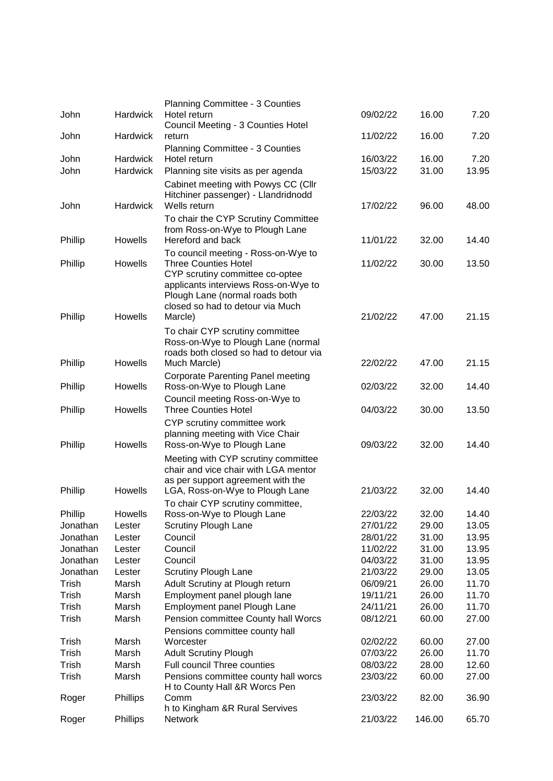|          |                 | <b>Planning Committee - 3 Counties</b>                                                                                                                                       |          |        |                |
|----------|-----------------|------------------------------------------------------------------------------------------------------------------------------------------------------------------------------|----------|--------|----------------|
| John     | Hardwick        | Hotel return<br>Council Meeting - 3 Counties Hotel                                                                                                                           | 09/02/22 | 16.00  | 7.20           |
| John     | <b>Hardwick</b> | return                                                                                                                                                                       | 11/02/22 | 16.00  | 7.20           |
|          |                 | Planning Committee - 3 Counties                                                                                                                                              |          |        |                |
| John     | <b>Hardwick</b> | Hotel return                                                                                                                                                                 | 16/03/22 | 16.00  | 7.20           |
| John     | <b>Hardwick</b> | Planning site visits as per agenda                                                                                                                                           | 15/03/22 | 31.00  | 13.95          |
|          |                 | Cabinet meeting with Powys CC (Cllr<br>Hitchiner passenger) - Llandridnodd                                                                                                   |          |        |                |
| John     | <b>Hardwick</b> | Wells return                                                                                                                                                                 | 17/02/22 | 96.00  | 48.00          |
| Phillip  | Howells         | To chair the CYP Scrutiny Committee<br>from Ross-on-Wye to Plough Lane<br>Hereford and back                                                                                  | 11/01/22 | 32.00  | 14.40          |
|          |                 | To council meeting - Ross-on-Wye to                                                                                                                                          |          |        |                |
| Phillip  | Howells         | <b>Three Counties Hotel</b><br>CYP scrutiny committee co-optee<br>applicants interviews Ross-on-Wye to<br>Plough Lane (normal roads both<br>closed so had to detour via Much | 11/02/22 | 30.00  | 13.50          |
| Phillip  | Howells         | Marcle)                                                                                                                                                                      | 21/02/22 | 47.00  | 21.15          |
|          |                 | To chair CYP scrutiny committee<br>Ross-on-Wye to Plough Lane (normal<br>roads both closed so had to detour via                                                              |          |        |                |
| Phillip  | Howells         | Much Marcle)                                                                                                                                                                 | 22/02/22 | 47.00  | 21.15          |
| Phillip  | Howells         | <b>Corporate Parenting Panel meeting</b><br>Ross-on-Wye to Plough Lane<br>Council meeting Ross-on-Wye to                                                                     | 02/03/22 | 32.00  | 14.40          |
| Phillip  | Howells         | <b>Three Counties Hotel</b>                                                                                                                                                  | 04/03/22 | 30.00  | 13.50          |
| Phillip  | Howells         | CYP scrutiny committee work<br>planning meeting with Vice Chair<br>Ross-on-Wye to Plough Lane                                                                                | 09/03/22 | 32.00  | 14.40          |
| Phillip  | Howells         | Meeting with CYP scrutiny committee<br>chair and vice chair with LGA mentor<br>as per support agreement with the<br>LGA, Ross-on-Wye to Plough Lane                          | 21/03/22 | 32.00  | 14.40          |
| Phillip  | Howells         | To chair CYP scrutiny committee,                                                                                                                                             | 22/03/22 | 32.00  |                |
| Jonathan | Lester          | Ross-on-Wye to Plough Lane<br><b>Scrutiny Plough Lane</b>                                                                                                                    | 27/01/22 | 29.00  | 14.40<br>13.05 |
| Jonathan | Lester          | Council                                                                                                                                                                      | 28/01/22 | 31.00  | 13.95          |
| Jonathan | Lester          | Council                                                                                                                                                                      | 11/02/22 | 31.00  | 13.95          |
| Jonathan | Lester          | Council                                                                                                                                                                      | 04/03/22 | 31.00  | 13.95          |
| Jonathan | Lester          | <b>Scrutiny Plough Lane</b>                                                                                                                                                  | 21/03/22 | 29.00  | 13.05          |
| Trish    | Marsh           | Adult Scrutiny at Plough return                                                                                                                                              | 06/09/21 | 26.00  | 11.70          |
| Trish    | Marsh           | Employment panel plough lane                                                                                                                                                 | 19/11/21 | 26.00  | 11.70          |
| Trish    | Marsh           | Employment panel Plough Lane                                                                                                                                                 | 24/11/21 | 26.00  | 11.70          |
| Trish    | Marsh           | Pension committee County hall Worcs                                                                                                                                          | 08/12/21 | 60.00  | 27.00          |
|          |                 | Pensions committee county hall                                                                                                                                               |          |        |                |
| Trish    | Marsh           | Worcester                                                                                                                                                                    | 02/02/22 | 60.00  | 27.00          |
| Trish    | Marsh           | <b>Adult Scrutiny Plough</b>                                                                                                                                                 | 07/03/22 | 26.00  | 11.70          |
| Trish    | Marsh           | Full council Three counties                                                                                                                                                  | 08/03/22 | 28.00  | 12.60          |
| Trish    | Marsh           | Pensions committee county hall worcs<br>H to County Hall &R Worcs Pen                                                                                                        | 23/03/22 | 60.00  | 27.00          |
| Roger    | Phillips        | Comm                                                                                                                                                                         | 23/03/22 | 82.00  | 36.90          |
| Roger    | Phillips        | h to Kingham &R Rural Servives<br><b>Network</b>                                                                                                                             | 21/03/22 | 146.00 | 65.70          |